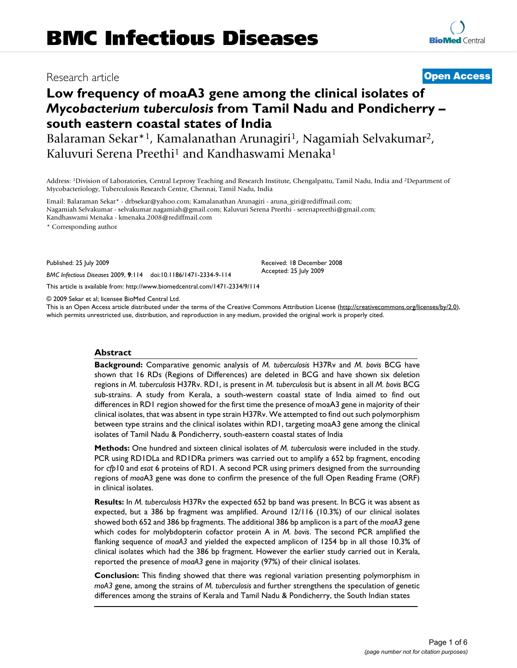# Research article **[Open Access](http://www.biomedcentral.com/info/about/charter/)**

# **Low frequency of moaA3 gene among the clinical isolates of**  *Mycobacterium tuberculosis* **from Tamil Nadu and Pondicherry – south eastern coastal states of India**

Balaraman Sekar\*1, Kamalanathan Arunagiri1, Nagamiah Selvakumar2, Kaluvuri Serena Preethi<sup>1</sup> and Kandhaswami Menaka<sup>1</sup>

Address: 1Division of Laboratories, Central Leprosy Teaching and Research Institute, Chengalpattu, Tamil Nadu, India and 2Department of Mycobacteriology, Tuberculosis Research Centre, Chennai, Tamil Nadu, India

Email: Balaraman Sekar\* - drbsekar@yahoo.com; Kamalanathan Arunagiri - aruna\_giri@rediffmail.com; Nagamiah Selvakumar - selvakumar.nagamiah@gmail.com; Kaluvuri Serena Preethi - serenapreethi@gmail.com; Kandhaswami Menaka - kmenaka.2008@rediffmail.com

\* Corresponding author

Published: 25 July 2009

*BMC Infectious Diseases* 2009, **9**:114 doi:10.1186/1471-2334-9-114

[This article is available from: http://www.biomedcentral.com/1471-2334/9/114](http://www.biomedcentral.com/1471-2334/9/114)

© 2009 Sekar et al; licensee BioMed Central Ltd.

This is an Open Access article distributed under the terms of the Creative Commons Attribution License [\(http://creativecommons.org/licenses/by/2.0\)](http://creativecommons.org/licenses/by/2.0), which permits unrestricted use, distribution, and reproduction in any medium, provided the original work is properly cited.

Received: 18 December 2008 Accepted: 25 July 2009

#### **Abstract**

**Background:** Comparative genomic analysis of *M. tuberculosis* H37Rv and *M. bovis* BCG have shown that 16 RDs (Regions of Differences) are deleted in BCG and have shown six deletion regions in *M. tuberculosis* H37Rv. RD1, is present in *M. tuberculosis* but is absent in all *M. bovis* BCG sub-strains. A study from Kerala, a south-western coastal state of India aimed to find out differences in RD1 region showed for the first time the presence of moaA3 gene in majority of their clinical isolates, that was absent in type strain H37Rv. We attempted to find out such polymorphism between type strains and the clinical isolates within RD1, targeting moaA3 gene among the clinical isolates of Tamil Nadu & Pondicherry, south-eastern coastal states of India

**Methods:** One hundred and sixteen clinical isolates of *M. tuberculosis* were included in the study. PCR using RD1DLa and RD1DRa primers was carried out to amplify a 652 bp fragment, encoding for *cfp*10 and *esat* 6 proteins of RD1. A second PCR using primers designed from the surrounding regions of *moa*A3 gene was done to confirm the presence of the full Open Reading Frame (ORF) in clinical isolates.

**Results:** In *M. tuberculosis* H37Rv the expected 652 bp band was present. In BCG it was absent as expected, but a 386 bp fragment was amplified. Around 12/116 (10.3%) of our clinical isolates showed both 652 and 386 bp fragments. The additional 386 bp amplicon is a part of the *moaA3* gene which codes for molybdopterin cofactor protein A in *M. bovis*. The second PCR amplified the flanking sequence of *moaA3* and yielded the expected amplicon of 1254 bp in all those 10.3% of clinical isolates which had the 386 bp fragment. However the earlier study carried out in Kerala, reported the presence of *moaA3* gene in majority (97%) of their clinical isolates.

**Conclusion:** This finding showed that there was regional variation presenting polymorphism in *moA3* gene, among the strains of *M. tuberculosis* and further strengthens the speculation of genetic differences among the strains of Kerala and Tamil Nadu & Pondicherry, the South Indian states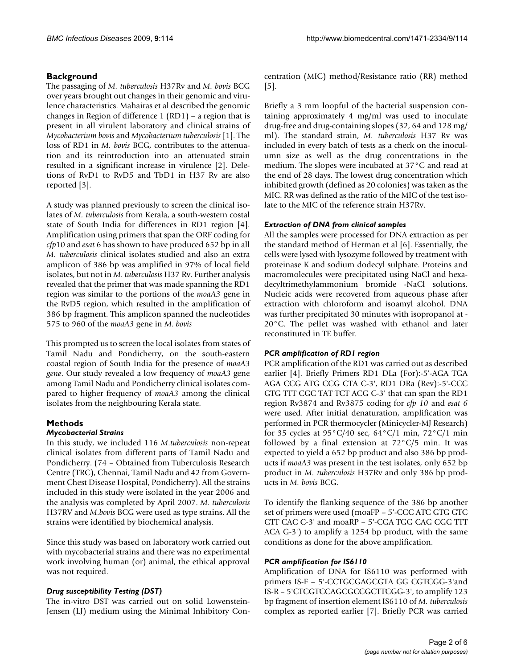# **Background**

The passaging of *M. tuberculosis* H37Rv and *M. bovis* BCG over years brought out changes in their genomic and virulence characteristics. Mahairas et al described the genomic changes in Region of difference 1 (RD1) – a region that is present in all virulent laboratory and clinical strains of *Mycobacterium bovis* and *Mycobacterium tuberculosis* [1]. The loss of RD1 in *M. bovis* BCG, contributes to the attenuation and its reintroduction into an attenuated strain resulted in a significant increase in virulence [2]. Deletions of RvD1 to RvD5 and TbD1 in H37 Rv are also reported [3].

A study was planned previously to screen the clinical isolates of *M. tuberculosis* from Kerala, a south-western costal state of South India for differences in RD1 region [4]. Amplification using primers that span the ORF coding for *cfp*10 and *esat* 6 has shown to have produced 652 bp in all *M. tuberculosis* clinical isolates studied and also an extra amplicon of 386 bp was amplified in 97% of local field isolates, but not in *M*. *tuberculosis* H37 Rv. Further analysis revealed that the primer that was made spanning the RD1 region was similar to the portions of the *moaA3* gene in the RvD5 region, which resulted in the amplification of 386 bp fragment. This amplicon spanned the nucleotides 575 to 960 of the *moaA3* gene in *M*. *bovis*

This prompted us to screen the local isolates from states of Tamil Nadu and Pondicherry, on the south-eastern coastal region of South India for the presence of *moaA3 gene*. Our study revealed a low frequency of *moaA3* gene among Tamil Nadu and Pondicherry clinical isolates compared to higher frequency of *moaA3* among the clinical isolates from the neighbouring Kerala state.

# **Methods**

### *Mycobacterial Strains*

In this study, we included 116 *M*.*tuberculosis* non-repeat clinical isolates from different parts of Tamil Nadu and Pondicherry. (74 – Obtained from Tuberculosis Research Centre (TRC), Chennai, Tamil Nadu and 42 from Government Chest Disease Hospital, Pondicherry). All the strains included in this study were isolated in the year 2006 and the analysis was completed by April 2007. *M*. *tuberculosis* H37RV and *M*.*bovis* BCG were used as type strains. All the strains were identified by biochemical analysis.

Since this study was based on laboratory work carried out with mycobacterial strains and there was no experimental work involving human (or) animal, the ethical approval was not required.

# *Drug susceptibility Testing (DST)*

The in-vitro DST was carried out on solid Lowenstein-Jensen (LJ) medium using the Minimal Inhibitory Concentration (MIC) method/Resistance ratio (RR) method  $\vert 5 \vert$ .

Briefly a 3 mm loopful of the bacterial suspension containing approximately 4 mg/ml was used to inoculate drug-free and drug-containing slopes (32, 64 and 128 mg/ ml). The standard strain, *M. tuberculosis* H37 Rv was included in every batch of tests as a check on the inoculumn size as well as the drug concentrations in the medium. The slopes were incubated at 37°C and read at the end of 28 days. The lowest drug concentration which inhibited growth (defined as 20 colonies) was taken as the MIC. RR was defined as the ratio of the MIC of the test isolate to the MIC of the reference strain H37Rv.

## *Extraction of DNA from clinical samples*

All the samples were processed for DNA extraction as per the standard method of Herman et al [6]. Essentially, the cells were lysed with lysozyme followed by treatment with proteinase K and sodium dodecyl sulphate. Proteins and macromolecules were precipitated using NaCl and hexadecyltrimethylammonium bromide -NaCl solutions. Nucleic acids were recovered from aqueous phase after extraction with chloroform and isoamyl alcohol. DNA was further precipitated 30 minutes with isopropanol at - 20°C. The pellet was washed with ethanol and later reconstituted in TE buffer.

### *PCR amplification of RD1 region*

PCR amplification of the RD1 was carried out as described earlier [4]. Briefly Primers RD1 DLa (For):-5'-AGA TGA AGA CCG ATG CCG CTA C-3', RD1 DRa (Rev):-5'-CCC GTG TTT CGC TAT TCT ACG C-3' that can span the RD1 region Rv3874 and Rv3875 coding for *cfp 10* and *esat 6* were used. After initial denaturation, amplification was performed in PCR thermocycler (Minicycler-MJ Research) for 35 cycles at 95°C/40 sec, 64°C/1 min, 72°C/1 min followed by a final extension at 72°C/5 min. It was expected to yield a 652 bp product and also 386 bp products if *moaA3* was present in the test isolates, only 652 bp product in *M. tuberculosis* H37Rv and only 386 bp products in *M. bovis* BCG.

To identify the flanking sequence of the 386 bp another set of primers were used (moaFP – 5'-CCC ATC GTG GTC GTT CAC C-3' and moaRP – 5'-CGA TGG CAG CGG TTT ACA G-3') to amplify a 1254 bp product, with the same conditions as done for the above amplification.

# *PCR amplification for IS6110*

Amplification of DNA for IS6110 was performed with primers IS-F – 5'-CCTGCGAGCGTA GG CGTCGG-3'and IS-R – 5'CTCGTCCAGCGCCGCTTCGG-3', to amplify 123 bp fragment of insertion element IS6110 of *M. tuberculosis* complex as reported earlier [7]. Briefly PCR was carried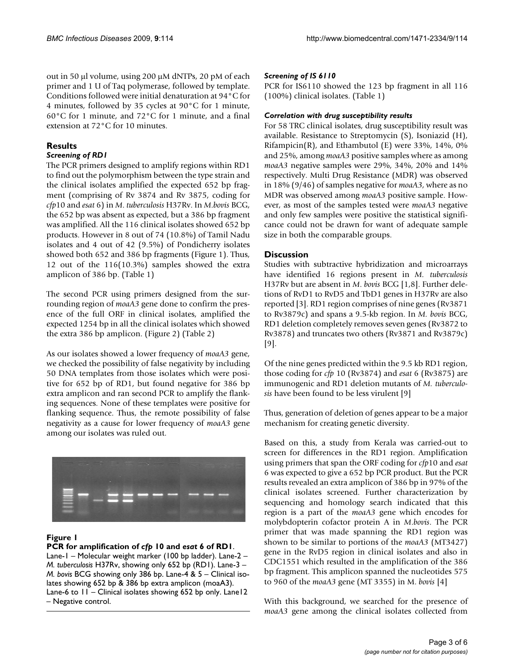out in 50 μl volume, using 200 μM dNTPs, 20 pM of each primer and 1 U of Taq polymerase, followed by template. Conditions followed were initial denaturation at 94°C for 4 minutes, followed by 35 cycles at 90°C for 1 minute, 60°C for 1 minute, and 72°C for 1 minute, and a final extension at 72°C for 10 minutes.

## **Results**

### *Screening of RD1*

The PCR primers designed to amplify regions within RD1 to find out the polymorphism between the type strain and the clinical isolates amplified the expected 652 bp fragment (comprising of Rv 3874 and Rv 3875, coding for *cfp*10 and *esat* 6) in *M*. *tuberculosis* H37Rv. In *M*.*bovis* BCG, the 652 bp was absent as expected, but a 386 bp fragment was amplified. All the 116 clinical isolates showed 652 bp products. However in 8 out of 74 (10.8%) of Tamil Nadu isolates and 4 out of 42 (9.5%) of Pondicherry isolates showed both 652 and 386 bp fragments (Figure 1). Thus, 12 out of the 116(10.3%) samples showed the extra amplicon of 386 bp. (Table 1)

The second PCR using primers designed from the surrounding region of *moaA3* gene done to confirm the presence of the full ORF in clinical isolates, amplified the expected 1254 bp in all the clinical isolates which showed the extra 386 bp amplicon. (Figure 2) (Table 2)

As our isolates showed a lower frequency of *moaA3* gene, we checked the possibility of false negativity by including 50 DNA templates from those isolates which were positive for 652 bp of RD1, but found negative for 386 bp extra amplicon and ran second PCR to amplify the flanking sequences. None of these templates were positive for flanking sequence. Thus, the remote possibility of false negativity as a cause for lower frequency of *moaA3* gene among our isolates was ruled out.



### **Figure 1**

### **PCR for amplification of** *cfp* **10 and** *esat* **6 of RD1**.

Lane-1 – Molecular weight marker (100 bp ladder). Lane-2 – *M. tuberculosis* H37Rv, showing only 652 bp (RD1). Lane-3 – *M. bovis* BCG showing only 386 bp. Lane-4 & 5 – Clinical isolates showing 652 bp & 386 bp extra amplicon (moaA3). Lane-6 to 11 – Clinical isolates showing 652 bp only. Lane12 – Negative control.

#### *Screening of IS 6110*

PCR for IS6110 showed the 123 bp fragment in all 116 (100%) clinical isolates. (Table 1)

#### *Correlation with drug susceptibility results*

For 58 TRC clinical isolates, drug susceptibility result was available. Resistance to Streptomycin (S), Isoniazid (H), Rifampicin(R), and Ethambutol (E) were  $33\%$ ,  $14\%$ ,  $0\%$ and 25%, among *moaA3* positive samples where as among *moaA3* negative samples were 29%, 34%, 20% and 14% respectively. Multi Drug Resistance (MDR) was observed in 18% (9/46) of samples negative for *moaA3*, where as no MDR was observed among *moaA3* positive sample. However, as most of the samples tested were *moaA3* negative and only few samples were positive the statistical significance could not be drawn for want of adequate sample size in both the comparable groups.

### **Discussion**

Studies with subtractive hybridization and microarrays have identified 16 regions present in *M. tuberculosis* H37Rv but are absent in *M*. *bovis* BCG [1,8]. Further deletions of RvD1 to RvD5 and TbD1 genes in H37Rv are also reported [3]. RD1 region comprises of nine genes (Rv3871 to Rv3879c) and spans a 9.5-kb region. In *M. bovis* BCG, RD1 deletion completely removes seven genes (Rv3872 to Rv3878) and truncates two others (Rv3871 and Rv3879c) [9].

Of the nine genes predicted within the 9.5 kb RD1 region, those coding for *cfp* 10 (Rv3874) and *esat* 6 (Rv3875) are immunogenic and RD1 deletion mutants of *M. tuberculosis* have been found to be less virulent [9]

Thus, generation of deletion of genes appear to be a major mechanism for creating genetic diversity.

Based on this, a study from Kerala was carried-out to screen for differences in the RD1 region. Amplification using primers that span the ORF coding for *cfp*10 and *esat* 6 was expected to give a 652 bp PCR product. But the PCR results revealed an extra amplicon of 386 bp in 97% of the clinical isolates screened. Further characterization by sequencing and homology search indicated that this region is a part of the *moaA3* gene which encodes for molybdopterin cofactor protein A in *M*.*bovis*. The PCR primer that was made spanning the RD1 region was shown to be similar to portions of the *moaA3* (MT3427) gene in the RvD5 region in clinical isolates and also in CDC1551 which resulted in the amplification of the 386 bp fragment. This amplicon spanned the nucleotides 575 to 960 of the *moaA3* gene (MT 3355) in M. *bovis* [4]

With this background, we searched for the presence of *moaA3* gene among the clinical isolates collected from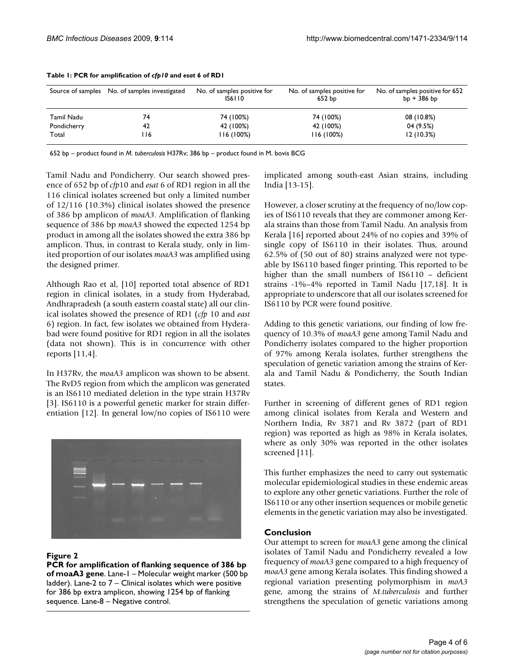|             | Source of samples No. of samples investigated | No. of samples positive for<br><b>IS6110</b> | No. of samples positive for<br>652 bp | No. of samples positive for 652<br>$bp + 386 bp$ |
|-------------|-----------------------------------------------|----------------------------------------------|---------------------------------------|--------------------------------------------------|
| Tamil Nadu  | 74                                            | 74 (100%)                                    | 74 (100%)                             | 08 (10.8%)                                       |
| Pondicherry | 42                                            | 42 (100%)                                    | 42 (100%)                             | 04 (9.5%)                                        |
| Total       | l 16                                          | 116 (100%)                                   | 116(100%)                             | 12(10.3%)                                        |

#### **Table 1: PCR for amplification of** *cfp10* **and** *esat* **6 of RD1**

652 bp – product found in *M. tuberculosis* H37Rv; 386 bp – product found in M. bovis BCG

Tamil Nadu and Pondicherry. Our search showed presence of 652 bp of *cfp*10 and *esat* 6 of RD1 region in all the 116 clinical isolates screened but only a limited number of 12/116 (10.3%) clinical isolates showed the presence of 386 bp amplicon of *moaA3*. Amplification of flanking sequence of 386 bp *moaA3* showed the expected 1254 bp product in among all the isolates showed the extra 386 bp amplicon. Thus, in contrast to Kerala study, only in limited proportion of our isolates *moaA3* was amplified using the designed primer.

Although Rao et al, [10] reported total absence of RD1 region in clinical isolates, in a study from Hyderabad, Andhrapradesh (a south eastern coastal state) all our clinical isolates showed the presence of RD1 (*cfp* 10 and *east* 6) region. In fact, few isolates we obtained from Hyderabad were found positive for RD1 region in all the isolates (data not shown). This is in concurrence with other reports [11,4].

In H37Rv, the *moaA3* amplicon was shown to be absent. The RvD5 region from which the amplicon was generated is an IS6110 mediated deletion in the type strain H37Rv [3]. IS6110 is a powerful genetic marker for strain differentiation [12]. In general low/no copies of IS6110 were



### **Figure 2**

**PCR for amplification of flanking sequence of 386 bp of moaA3 gene**. Lane-1 – Molecular weight marker (500 bp ladder). Lane-2 to 7 – Clinical isolates which were positive for 386 bp extra amplicon, showing 1254 bp of flanking sequence. Lane-8 – Negative control.

implicated among south-east Asian strains, including India [13-15].

However, a closer scrutiny at the frequency of no/low copies of IS6110 reveals that they are commoner among Kerala strains than those from Tamil Nadu. An analysis from Kerala [16] reported about 24% of no copies and 39% of single copy of IS6110 in their isolates. Thus, around 62.5% of (50 out of 80) strains analyzed were not typeable by IS6110 based finger printing. This reported to be higher than the small numbers of IS6110 – deficient strains -1%–4% reported in Tamil Nadu [17,18]. It is appropriate to underscore that all our isolates screened for IS6110 by PCR were found positive.

Adding to this genetic variations, our finding of low frequency of 10.3% of *moaA3* gene among Tamil Nadu and Pondicherry isolates compared to the higher proportion of 97% among Kerala isolates, further strengthens the speculation of genetic variation among the strains of Kerala and Tamil Nadu & Pondicherry, the South Indian states.

Further in screening of different genes of RD1 region among clinical isolates from Kerala and Western and Northern India, Rv 3871 and Rv 3872 (part of RD1 region) was reported as high as 98% in Kerala isolates, where as only 30% was reported in the other isolates screened [11].

This further emphasizes the need to carry out systematic molecular epidemiological studies in these endemic areas to explore any other genetic variations. Further the role of IS6110 or any other insertion sequences or mobile genetic elements in the genetic variation may also be investigated.

### **Conclusion**

Our attempt to screen for *moaA3* gene among the clinical isolates of Tamil Nadu and Pondicherry revealed a low frequency of *moaA3* gene compared to a high frequency of *moaA3* gene among Kerala isolates. This finding showed a regional variation presenting polymorphism in *moA3* gene, among the strains of *M*.*tuberculosis* and further strengthens the speculation of genetic variations among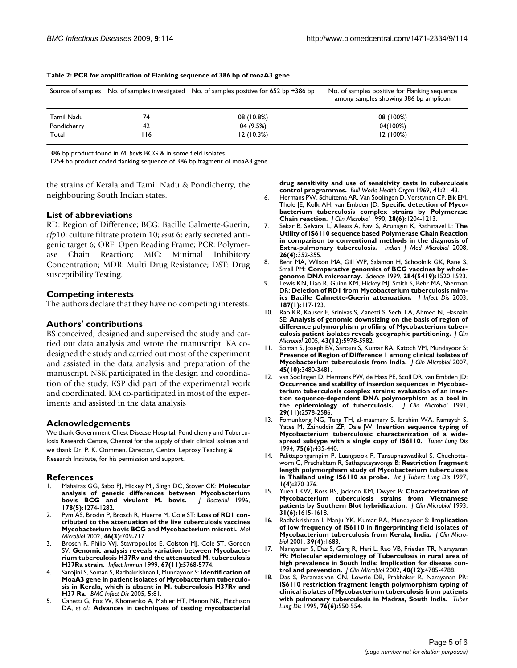|             |      | Source of samples No. of samples investigated No. of samples positive for 652 bp +386 bp | No. of samples positive for Flanking sequence<br>among samples showing 386 bp amplicon |
|-------------|------|------------------------------------------------------------------------------------------|----------------------------------------------------------------------------------------|
| Tamil Nadu  | 74   | 08 (10.8%)                                                                               | 08 (100%)                                                                              |
| Pondicherry | 42   | 04 (9.5%)                                                                                | 04(100%)                                                                               |
| Total       | l 16 | 12(10.3%)                                                                                | 12(100%)                                                                               |

**Table 2: PCR for amplification of Flanking sequence of 386 bp of moaA3 gene**

386 bp product found in *M. bovis* BCG & in some field isolates

1254 bp product coded flanking sequence of 386 bp fragment of moaA3 gene

the strains of Kerala and Tamil Nadu & Pondicherry, the neighbouring South Indian states.

#### **List of abbreviations**

RD: Region of Difference; BCG: Bacille Calmette-Guerin; *cfp*10: culture filtrate protein 10; *esat* 6: early secreted antigenic target 6; ORF: Open Reading Frame; PCR: Polymerase Chain Reaction; MIC: Minimal Inhibitory Concentration; MDR: Multi Drug Resistance; DST: Drug susceptibility Testing.

#### **Competing interests**

The authors declare that they have no competing interests.

#### **Authors' contributions**

BS conceived, designed and supervised the study and carried out data analysis and wrote the manuscript. KA codesigned the study and carried out most of the experiment and assisted in the data analysis and preparation of the manuscript. NSK participated in the design and coordination of the study. KSP did part of the experimental work and coordinated. KM co-participated in most of the experiments and assisted in the data analysis

#### **Acknowledgements**

We thank Government Chest Disease Hospital, Pondicherry and Tuberculosis Research Centre, Chennai for the supply of their clinical isolates and we thank Dr. P. K. Oommen, Director, Central Leprosy Teaching & Research Institute, for his permission and support.

#### **References**

- 1. Mahairas GG, Sabo PJ, Hickey MJ, Singh DC, Stover CK: **[Molecular](http://www.ncbi.nlm.nih.gov/entrez/query.fcgi?cmd=Retrieve&db=PubMed&dopt=Abstract&list_uids=8631702)** [analysis of genetic differences between Mycobacterium](http://www.ncbi.nlm.nih.gov/entrez/query.fcgi?cmd=Retrieve&db=PubMed&dopt=Abstract&list_uids=8631702)<br>bovis BCG and virulent M. bovis. | Bacteriol 1996, **bovis BCG** and virulent M. bovis. **178(5):**1274-1282.
- 2. Pym AS, Brodin P, Brosch R, Huerre M, Cole ST: **[Loss of RD1 con](http://www.ncbi.nlm.nih.gov/entrez/query.fcgi?cmd=Retrieve&db=PubMed&dopt=Abstract&list_uids=12410828)[tributed to the attenuation of the live tuberculosis vaccines](http://www.ncbi.nlm.nih.gov/entrez/query.fcgi?cmd=Retrieve&db=PubMed&dopt=Abstract&list_uids=12410828) [Mycobacterium bovis BCG and Mycobacterium microti.](http://www.ncbi.nlm.nih.gov/entrez/query.fcgi?cmd=Retrieve&db=PubMed&dopt=Abstract&list_uids=12410828)** *Mol Microbiol* 2002, **46(3):**709-717.
- 3. Brosch R, Philip WJ, Stavropoulos E, Colston MJ, Cole ST, Gordon SV: **[Genomic analysis reveals variation between Mycobacte](http://www.ncbi.nlm.nih.gov/entrez/query.fcgi?cmd=Retrieve&db=PubMed&dopt=Abstract&list_uids=10531227)[rium tuberculosis H37Rv and the attenuated M. tuberculosis](http://www.ncbi.nlm.nih.gov/entrez/query.fcgi?cmd=Retrieve&db=PubMed&dopt=Abstract&list_uids=10531227) [H37Ra strain.](http://www.ncbi.nlm.nih.gov/entrez/query.fcgi?cmd=Retrieve&db=PubMed&dopt=Abstract&list_uids=10531227)** *Infect Immun* 1999, **67(11):**5768-5774.
- 4. Sarojini S, Soman S, Radhakrishnan I, Mundayoor S: **[Identification of](http://www.ncbi.nlm.nih.gov/entrez/query.fcgi?cmd=Retrieve&db=PubMed&dopt=Abstract&list_uids=16202156) [MoaA3 gene in patient isolates of Mycobacterium tuberculo](http://www.ncbi.nlm.nih.gov/entrez/query.fcgi?cmd=Retrieve&db=PubMed&dopt=Abstract&list_uids=16202156)sis in Kerala, which is absent in M. tuberculosis H37Rv and [H37 Ra.](http://www.ncbi.nlm.nih.gov/entrez/query.fcgi?cmd=Retrieve&db=PubMed&dopt=Abstract&list_uids=16202156)** *BMC Infect Dis* 2005, **5:**81.
- 5. Canetti G, Fox W, Khomenko A, Mahler HT, Menon NK, Mitchison DA, *et al.*: **[Advances in techniques of testing mycobacterial](http://www.ncbi.nlm.nih.gov/entrez/query.fcgi?cmd=Retrieve&db=PubMed&dopt=Abstract&list_uids=5309084)**

**[drug sensitivity and use of sensitivity tests in tuberculosis](http://www.ncbi.nlm.nih.gov/entrez/query.fcgi?cmd=Retrieve&db=PubMed&dopt=Abstract&list_uids=5309084) [control programmes.](http://www.ncbi.nlm.nih.gov/entrez/query.fcgi?cmd=Retrieve&db=PubMed&dopt=Abstract&list_uids=5309084)** *Bull World Health Organ* 1969, **41:**21-43.

- 6. Hermans PW, Schuitema AR, Van Soolingen D, Verstynen CP, Bik EM, Thole JE, Kolk AH, van Embden JD: **[Specific detection of Myco](http://www.ncbi.nlm.nih.gov/entrez/query.fcgi?cmd=Retrieve&db=PubMed&dopt=Abstract&list_uids=2116445)[bacterium tuberculosis complex strains by Polymerase](http://www.ncbi.nlm.nih.gov/entrez/query.fcgi?cmd=Retrieve&db=PubMed&dopt=Abstract&list_uids=2116445) [Chain reaction.](http://www.ncbi.nlm.nih.gov/entrez/query.fcgi?cmd=Retrieve&db=PubMed&dopt=Abstract&list_uids=2116445)** *J Clin Microbiol* 1990, **28(6):**1204-1213.
- 7. Sekar B, Selvaraj L, Allexis A, Ravi S, Arunagiri K, Rathinavel L: **[The](http://www.ncbi.nlm.nih.gov/entrez/query.fcgi?cmd=Retrieve&db=PubMed&dopt=Abstract&list_uids=18974489) [Utility of IS6110 sequence based Polymerase Chain Reaction](http://www.ncbi.nlm.nih.gov/entrez/query.fcgi?cmd=Retrieve&db=PubMed&dopt=Abstract&list_uids=18974489) in comparison to conventional methods in the diagnosis of [Extra-pulmonary tuberculosis.](http://www.ncbi.nlm.nih.gov/entrez/query.fcgi?cmd=Retrieve&db=PubMed&dopt=Abstract&list_uids=18974489)** *Indian J Med Microbiol* 2008, **26(4):**352-355.
- 8. Behr MA, Wilson MA, Gill WP, Salamon H, Schoolnik GK, Rane S, Small PM: **[Comparative genomics of BCG vaccines by whole](http://www.ncbi.nlm.nih.gov/entrez/query.fcgi?cmd=Retrieve&db=PubMed&dopt=Abstract&list_uids=10348738)[genome DNA microarray.](http://www.ncbi.nlm.nih.gov/entrez/query.fcgi?cmd=Retrieve&db=PubMed&dopt=Abstract&list_uids=10348738)** *Science* 1999, **284(5419):**1520-1523.
- 9. Lewis KN, Liao R, Guinn KM, Hickey MJ, Smith S, Behr MA, Sherman DR: **[Deletion of RD1 from Mycobacterium tuberculosis mim](http://www.ncbi.nlm.nih.gov/entrez/query.fcgi?cmd=Retrieve&db=PubMed&dopt=Abstract&list_uids=12508154)[ics Bacille Calmette-Guerin attenuation.](http://www.ncbi.nlm.nih.gov/entrez/query.fcgi?cmd=Retrieve&db=PubMed&dopt=Abstract&list_uids=12508154)** *J Infect Dis* 2003, **187(1):**117-123.
- 10. Rao KR, Kauser F, Srinivas S, Zanetti S, Sechi LA, Ahmed N, Hasnain SE: **[Analysis of genomic downsizing on the basis of region of](http://www.ncbi.nlm.nih.gov/entrez/query.fcgi?cmd=Retrieve&db=PubMed&dopt=Abstract&list_uids=16333085) [difference polymorphism profiling of Mycobacterium tuber](http://www.ncbi.nlm.nih.gov/entrez/query.fcgi?cmd=Retrieve&db=PubMed&dopt=Abstract&list_uids=16333085)[culosis patient isolates reveals geographic partitioning.](http://www.ncbi.nlm.nih.gov/entrez/query.fcgi?cmd=Retrieve&db=PubMed&dopt=Abstract&list_uids=16333085)** *J Clin Microbiol* 2005, **43(12):**5978-5982.
- 11. Soman S, Joseph BV, Sarojini S, Kumar RA, Katoch VM, Mundayoor S: **[Presence of Region of Difference 1 among clinical isolates of](http://www.ncbi.nlm.nih.gov/entrez/query.fcgi?cmd=Retrieve&db=PubMed&dopt=Abstract&list_uids=17699640) [Mycobacterium tuberculosis from India.](http://www.ncbi.nlm.nih.gov/entrez/query.fcgi?cmd=Retrieve&db=PubMed&dopt=Abstract&list_uids=17699640)** *J Clin Microbiol* 2007, **45(10):**3480-3481.
- 12. van Soolingen D, Hermans PW, de Hass PE, Scoll DR, van Embden JD: **[Occurrence and stability of insertion sequences in Mycobac](http://www.ncbi.nlm.nih.gov/entrez/query.fcgi?cmd=Retrieve&db=PubMed&dopt=Abstract&list_uids=1685494)terium tuberculosis complex strains: evaluation of an insertion sequence-dependent DNA polymorphism as a tool in [the epidemiology of tuberculosis.](http://www.ncbi.nlm.nih.gov/entrez/query.fcgi?cmd=Retrieve&db=PubMed&dopt=Abstract&list_uids=1685494)** *J Clin Microbiol* 1991, **29(11):**2578-2586.
- 13. Fomunkong NG, Tang TH, al-maamary S, Ibrahim WA, Ramayah S, Yates M, Zainuddin ZF, Dale JW: **[Insertion sequence typing of](http://www.ncbi.nlm.nih.gov/entrez/query.fcgi?cmd=Retrieve&db=PubMed&dopt=Abstract&list_uids=7718832) [Mycobacterium tuberculosis: characterization of a wide](http://www.ncbi.nlm.nih.gov/entrez/query.fcgi?cmd=Retrieve&db=PubMed&dopt=Abstract&list_uids=7718832)[spread subtype with a single copy of IS6110.](http://www.ncbi.nlm.nih.gov/entrez/query.fcgi?cmd=Retrieve&db=PubMed&dopt=Abstract&list_uids=7718832)** *Tuber Lung Dis* 1994, **75(6):**435-440.
- 14. Palittapongarnpim P, Luangsook P, Tansuphaswadikul S, Chuchottaworn C, Prachaktam R, Sathapatayavongs B: **[Restriction fragment](http://www.ncbi.nlm.nih.gov/entrez/query.fcgi?cmd=Retrieve&db=PubMed&dopt=Abstract&list_uids=9432395) [length polymorphism study of Mycobacterium tuberculosis](http://www.ncbi.nlm.nih.gov/entrez/query.fcgi?cmd=Retrieve&db=PubMed&dopt=Abstract&list_uids=9432395) [in Thailand using IS6110 as probe.](http://www.ncbi.nlm.nih.gov/entrez/query.fcgi?cmd=Retrieve&db=PubMed&dopt=Abstract&list_uids=9432395)** *Int J Tuberc Lung Dis* 1997, **1(4):**370-376.
- 15. Yuen LKW, Ross BS, Jackson KM, Dwyer B: **[Characterization of](http://www.ncbi.nlm.nih.gov/entrez/query.fcgi?cmd=Retrieve&db=PubMed&dopt=Abstract&list_uids=8100244) [Mycobacterium tuberculosis strains from Vietnamese](http://www.ncbi.nlm.nih.gov/entrez/query.fcgi?cmd=Retrieve&db=PubMed&dopt=Abstract&list_uids=8100244) [patients by Southern Blot hybridization.](http://www.ncbi.nlm.nih.gov/entrez/query.fcgi?cmd=Retrieve&db=PubMed&dopt=Abstract&list_uids=8100244)** *J Clin Microbiol* 1993, **31(6):**1615-1618.
- 16. Radhakrishnan I, Manju YK, Kumar RA, Mundayoor S: **[Implication](http://www.ncbi.nlm.nih.gov/entrez/query.fcgi?cmd=Retrieve&db=PubMed&dopt=Abstract&list_uids=11354035) [of low frequency of IS6110 in fingerprinting field isolates of](http://www.ncbi.nlm.nih.gov/entrez/query.fcgi?cmd=Retrieve&db=PubMed&dopt=Abstract&list_uids=11354035) [Mycobacterium tuberculosis from Kerala, India.](http://www.ncbi.nlm.nih.gov/entrez/query.fcgi?cmd=Retrieve&db=PubMed&dopt=Abstract&list_uids=11354035)** *J Clin Microbiol* 2001, **39(4):**1683.
- 17. Narayanan S, Das S, Garg R, Hari L, Rao VB, Frieden TR, Narayanan PR: **[Molecular epidemiology of Tuberculosis in rural area of](http://www.ncbi.nlm.nih.gov/entrez/query.fcgi?cmd=Retrieve&db=PubMed&dopt=Abstract&list_uids=12454197) [high prevalence in South India: Implication for disease con](http://www.ncbi.nlm.nih.gov/entrez/query.fcgi?cmd=Retrieve&db=PubMed&dopt=Abstract&list_uids=12454197)[trol and prevention.](http://www.ncbi.nlm.nih.gov/entrez/query.fcgi?cmd=Retrieve&db=PubMed&dopt=Abstract&list_uids=12454197)** *J Clin Microbiol* 2002, **40(12):**4785-4788.
- 18. Das S, Paramasivan CN, Lowrie DB, Prabhakar R, Narayanan PR: **[IS6110 restriction fragment length polymorphism typing of](http://www.ncbi.nlm.nih.gov/entrez/query.fcgi?cmd=Retrieve&db=PubMed&dopt=Abstract&list_uids=8593378) clinical isolates of Mycobacterium tuberculosis from patients [with pulmonary tuberculosis in Madras, South India.](http://www.ncbi.nlm.nih.gov/entrez/query.fcgi?cmd=Retrieve&db=PubMed&dopt=Abstract&list_uids=8593378)** *Tuber Lung Dis* 1995, **76(6):**550-554.